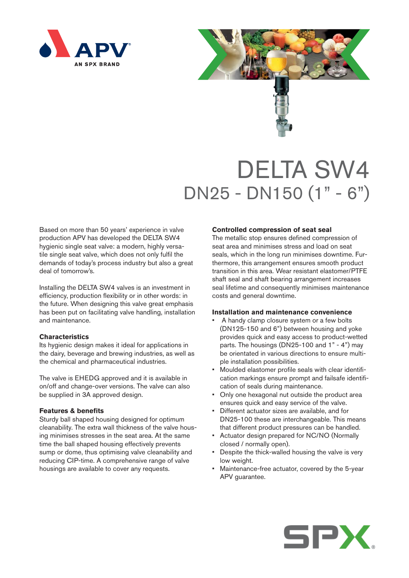



# DELTA SW4 DN25 - DN150 (1" - 6")

Based on more than 50 years' experience in valve production APV has developed the DELTA SW4 hygienic single seat valve: a modern, highly versatile single seat valve, which does not only fulfil the demands of today's process industry but also a great deal of tomorrow's.

Installing the DELTA SW4 valves is an investment in efficiency, production flexibility or in other words: in the future. When designing this valve great emphasis has been put on facilitating valve handling, installation and maintenance.

## **Characteristics**

Its hygienic design makes it ideal for applications in the dairy, beverage and brewing industries, as well as the chemical and pharmaceutical industries.

The valve is EHEDG approved and it is available in on/off and change-over versions. The valve can also be supplied in 3A approved design.

## **Features & benefits**

Sturdy ball shaped housing designed for optimum cleanability. The extra wall thickness of the valve housing minimises stresses in the seat area. At the same time the ball shaped housing effectively prevents sump or dome, thus optimising valve cleanability and reducing CIP-time. A comprehensive range of valve housings are available to cover any requests.

#### **Controlled compression of seat seal**

The metallic stop ensures defined compression of seat area and minimises stress and load on seat seals, which in the long run minimises downtime. Furthermore, this arrangement ensures smooth product transition in this area. Wear resistant elastomer/PTFE shaft seal and shaft bearing arrangement increases seal lifetime and consequently minimises maintenance costs and general downtime.

#### **Installation and maintenance convenience**

- A handy clamp closure system or a few bolts (DN125-150 and 6") between housing and yoke provides quick and easy access to product-wetted parts. The housings (DN25-100 and 1" - 4") may be orientated in various directions to ensure multiple installation possibilities.
- Moulded elastomer profile seals with clear identification markings ensure prompt and failsafe identification of seals during maintenance.
- Only one hexagonal nut outside the product area ensures quick and easy service of the valve.
- Different actuator sizes are available, and for DN25-100 these are interchangeable. This means that different product pressures can be handled.
- Actuator design prepared for NC/NO (Normally closed / normally open).
- Despite the thick-walled housing the valve is very low weight.
- Maintenance-free actuator, covered by the 5-year APV guarantee.